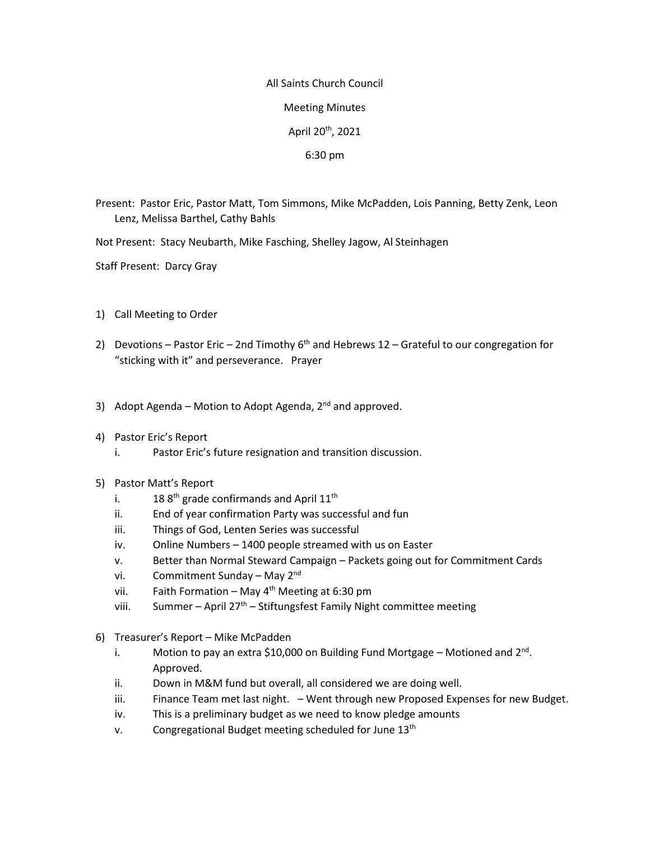## All Saints Church Council Meeting Minutes April 20th, 2021 6:30 pm

- Present: Pastor Eric, Pastor Matt, Tom Simmons, Mike McPadden, Lois Panning, Betty Zenk, Leon Lenz, Melissa Barthel, Cathy Bahls
- Not Present: Stacy Neubarth, Mike Fasching, Shelley Jagow, Al Steinhagen
- Staff Present: Darcy Gray
- 1) Call Meeting to Order
- 2) Devotions Pastor Eric 2nd Timothy  $6<sup>th</sup>$  and Hebrews 12 Grateful to our congregation for "sticking with it" and perseverance. Prayer
- 3) Adopt Agenda Motion to Adopt Agenda,  $2^{nd}$  and approved.
- 4) Pastor Eric's Report
	- i. Pastor Eric's future resignation and transition discussion.
- 5) Pastor Matt's Report
	- i.  $188^{th}$  grade confirmands and April  $11^{th}$
	- ii. End of year confirmation Party was successful and fun
	- iii. Things of God, Lenten Series was successful
	- iv. Online Numbers 1400 people streamed with us on Easter
	- v. Better than Normal Steward Campaign Packets going out for Commitment Cards
	- vi. Commitment Sunday May 2<sup>nd</sup>
	- vii. Faith Formation May  $4^{th}$  Meeting at 6:30 pm
	- viii. Summer April  $27<sup>th</sup>$  Stiftungsfest Family Night committee meeting
- 6) Treasurer's Report Mike McPadden
	- i. Motion to pay an extra \$10,000 on Building Fund Mortgage Motioned and  $2^{nd}$ . Approved.
	- ii. Down in M&M fund but overall, all considered we are doing well.
	- iii. Finance Team met last night. Went through new Proposed Expenses for new Budget.
	- iv. This is a preliminary budget as we need to know pledge amounts
	- v. Congregational Budget meeting scheduled for June 13<sup>th</sup>